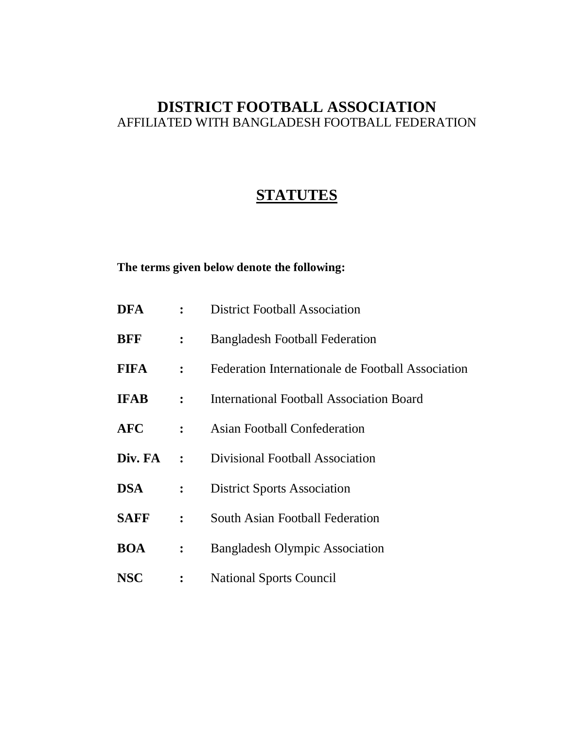# **DISTRICT FOOTBALL ASSOCIATION** AFFILIATED WITH BANGLADESH FOOTBALL FEDERATION

# **STATUTES**

# **The terms given below denote the following:**

| <b>DFA</b>  |                | <b>District Football Association</b>              |
|-------------|----------------|---------------------------------------------------|
| <b>BFF</b>  | :              | <b>Bangladesh Football Federation</b>             |
| <b>FIFA</b> | $\ddot{\cdot}$ | Federation Internationale de Football Association |
| <b>IFAB</b> | $\ddot{\cdot}$ | International Football Association Board          |
| <b>AFC</b>  | $\ddot{\cdot}$ | <b>Asian Football Confederation</b>               |
| Div. FA     | $\mathbf{r}$   | Divisional Football Association                   |
| <b>DSA</b>  | $\ddot{\cdot}$ | <b>District Sports Association</b>                |
| <b>SAFF</b> | $\ddot{\cdot}$ | <b>South Asian Football Federation</b>            |
| <b>BOA</b>  | $\ddot{\cdot}$ | <b>Bangladesh Olympic Association</b>             |
| <b>NSC</b>  | :              | <b>National Sports Council</b>                    |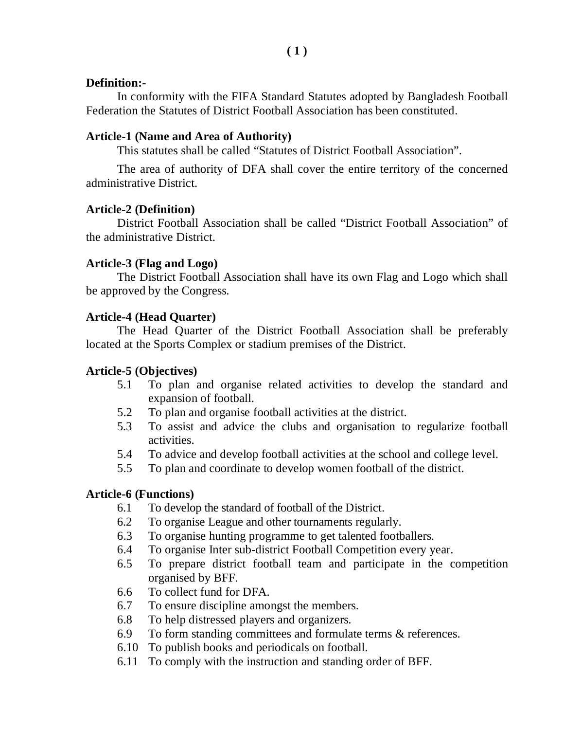#### **Definition:-**

In conformity with the FIFA Standard Statutes adopted by Bangladesh Football Federation the Statutes of District Football Association has been constituted.

### **Article-1 (Name and Area of Authority)**

This statutes shall be called "Statutes of District Football Association".

The area of authority of DFA shall cover the entire territory of the concerned administrative District.

### **Article-2 (Definition)**

District Football Association shall be called "District Football Association" of the administrative District.

### **Article-3 (Flag and Logo)**

The District Football Association shall have its own Flag and Logo which shall be approved by the Congress.

### **Article-4 (Head Quarter)**

The Head Quarter of the District Football Association shall be preferably located at the Sports Complex or stadium premises of the District.

### **Article-5 (Objectives)**

- 5.1 To plan and organise related activities to develop the standard and expansion of football.
- 5.2 To plan and organise football activities at the district.
- 5.3 To assist and advice the clubs and organisation to regularize football activities.
- 5.4 To advice and develop football activities at the school and college level.
- 5.5 To plan and coordinate to develop women football of the district.

### **Article-6 (Functions)**

- 6.1 To develop the standard of football of the District.
- 6.2 To organise League and other tournaments regularly.
- 6.3 To organise hunting programme to get talented footballers.
- 6.4 To organise Inter sub-district Football Competition every year.
- 6.5 To prepare district football team and participate in the competition organised by BFF.
- 6.6 To collect fund for DFA.
- 6.7 To ensure discipline amongst the members.
- 6.8 To help distressed players and organizers.
- 6.9 To form standing committees and formulate terms & references.
- 6.10 To publish books and periodicals on football.
- 6.11 To comply with the instruction and standing order of BFF.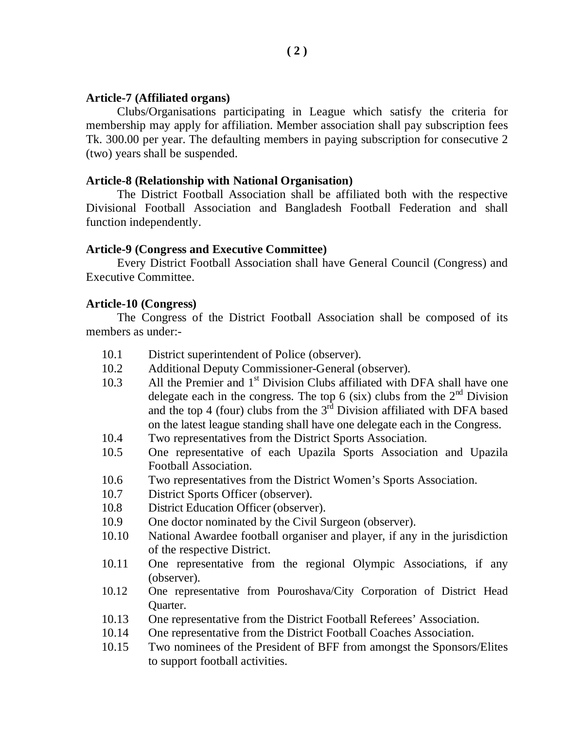#### **Article-7 (Affiliated organs)**

Clubs/Organisations participating in League which satisfy the criteria for membership may apply for affiliation. Member association shall pay subscription fees Tk. 300.00 per year. The defaulting members in paying subscription for consecutive 2 (two) years shall be suspended.

#### **Article-8 (Relationship with National Organisation)**

The District Football Association shall be affiliated both with the respective Divisional Football Association and Bangladesh Football Federation and shall function independently.

#### **Article-9 (Congress and Executive Committee)**

Every District Football Association shall have General Council (Congress) and Executive Committee.

#### **Article-10 (Congress)**

The Congress of the District Football Association shall be composed of its members as under:-

- 10.1 District superintendent of Police (observer).
- 10.2 Additional Deputy Commissioner-General (observer).
- 10.3 All the Premier and 1<sup>st</sup> Division Clubs affiliated with DFA shall have one delegate each in the congress. The top 6 (six) clubs from the  $2<sup>nd</sup>$  Division and the top 4 (four) clubs from the  $3<sup>rd</sup>$  Division affiliated with DFA based on the latest league standing shall have one delegate each in the Congress.
- 10.4 Two representatives from the District Sports Association.
- 10.5 One representative of each Upazila Sports Association and Upazila Football Association.
- 10.6 Two representatives from the District Women's Sports Association.
- 10.7 District Sports Officer (observer).
- 10.8 District Education Officer (observer).
- 10.9 One doctor nominated by the Civil Surgeon (observer).
- 10.10 National Awardee football organiser and player, if any in the jurisdiction of the respective District.
- 10.11 One representative from the regional Olympic Associations, if any (observer).
- 10.12 One representative from Pouroshava/City Corporation of District Head Quarter.
- 10.13 One representative from the District Football Referees' Association.
- 10.14 One representative from the District Football Coaches Association.
- 10.15 Two nominees of the President of BFF from amongst the Sponsors/Elites to support football activities.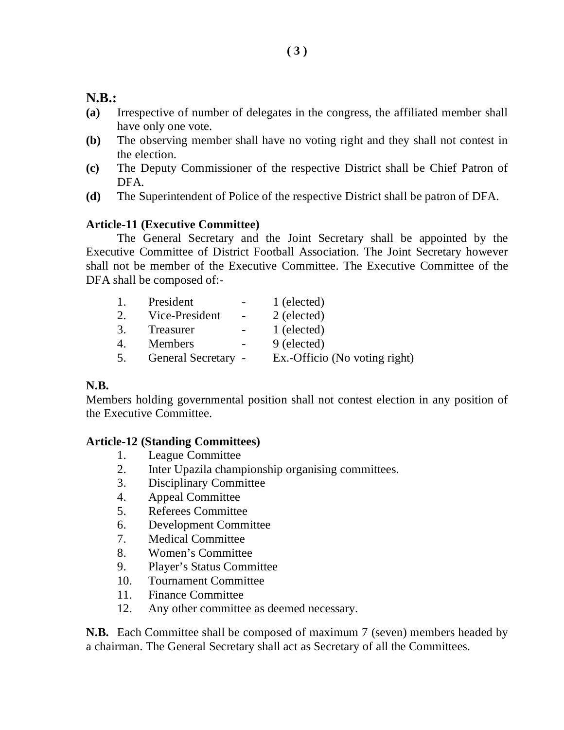### **N.B.:**

- **(a)** Irrespective of number of delegates in the congress, the affiliated member shall have only one vote.
- **(b)** The observing member shall have no voting right and they shall not contest in the election.
- **(c)** The Deputy Commissioner of the respective District shall be Chief Patron of DFA.
- **(d)** The Superintendent of Police of the respective District shall be patron of DFA.

### **Article-11 (Executive Committee)**

The General Secretary and the Joint Secretary shall be appointed by the Executive Committee of District Football Association. The Joint Secretary however shall not be member of the Executive Committee. The Executive Committee of the DFA shall be composed of:-

| $\mathbf{1}_{+}$                | President                        | 1 (elected)                   |
|---------------------------------|----------------------------------|-------------------------------|
| 2.                              | Vice-President<br>$\sim$ $ \sim$ | 2 (elected)                   |
| 3.                              | Treasurer<br>$\equiv$            | 1 (elected)                   |
| $4_{\scriptscriptstyle{\perp}}$ | Members                          | 9 (elected)                   |
| 5.                              | General Secretary -              | Ex.-Officio (No voting right) |

#### **N.B.**

Members holding governmental position shall not contest election in any position of the Executive Committee.

#### **Article-12 (Standing Committees)**

- 1. League Committee
- 2. Inter Upazila championship organising committees.
- 3. Disciplinary Committee
- 4. Appeal Committee
- 5. Referees Committee
- 6. Development Committee
- 7. Medical Committee
- 8. Women's Committee
- 9. Player's Status Committee
- 10. Tournament Committee
- 11. Finance Committee
- 12. Any other committee as deemed necessary.

**N.B.** Each Committee shall be composed of maximum 7 (seven) members headed by a chairman. The General Secretary shall act as Secretary of all the Committees.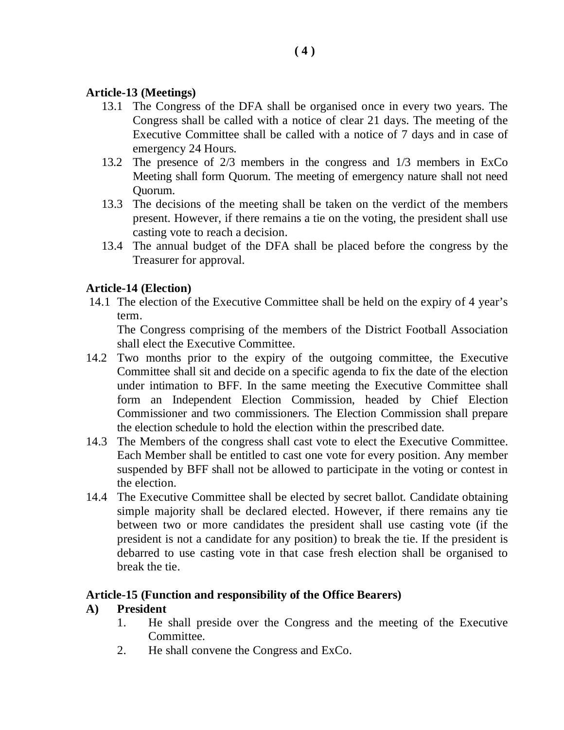### **Article-13 (Meetings)**

- 13.1 The Congress of the DFA shall be organised once in every two years. The Congress shall be called with a notice of clear 21 days. The meeting of the Executive Committee shall be called with a notice of 7 days and in case of emergency 24 Hours.
- 13.2 The presence of 2/3 members in the congress and 1/3 members in ExCo Meeting shall form Quorum. The meeting of emergency nature shall not need Quorum.
- 13.3 The decisions of the meeting shall be taken on the verdict of the members present. However, if there remains a tie on the voting, the president shall use casting vote to reach a decision.
- 13.4 The annual budget of the DFA shall be placed before the congress by the Treasurer for approval.

#### **Article-14 (Election)**

14.1 The election of the Executive Committee shall be held on the expiry of 4 year's term.

The Congress comprising of the members of the District Football Association shall elect the Executive Committee.

- 14.2 Two months prior to the expiry of the outgoing committee, the Executive Committee shall sit and decide on a specific agenda to fix the date of the election under intimation to BFF. In the same meeting the Executive Committee shall form an Independent Election Commission, headed by Chief Election Commissioner and two commissioners. The Election Commission shall prepare the election schedule to hold the election within the prescribed date.
- 14.3 The Members of the congress shall cast vote to elect the Executive Committee. Each Member shall be entitled to cast one vote for every position. Any member suspended by BFF shall not be allowed to participate in the voting or contest in the election.
- 14.4 The Executive Committee shall be elected by secret ballot. Candidate obtaining simple majority shall be declared elected. However, if there remains any tie between two or more candidates the president shall use casting vote (if the president is not a candidate for any position) to break the tie. If the president is debarred to use casting vote in that case fresh election shall be organised to break the tie.

#### **Article-15 (Function and responsibility of the Office Bearers)**

### **A) President**

- 1. He shall preside over the Congress and the meeting of the Executive Committee.
- 2. He shall convene the Congress and ExCo.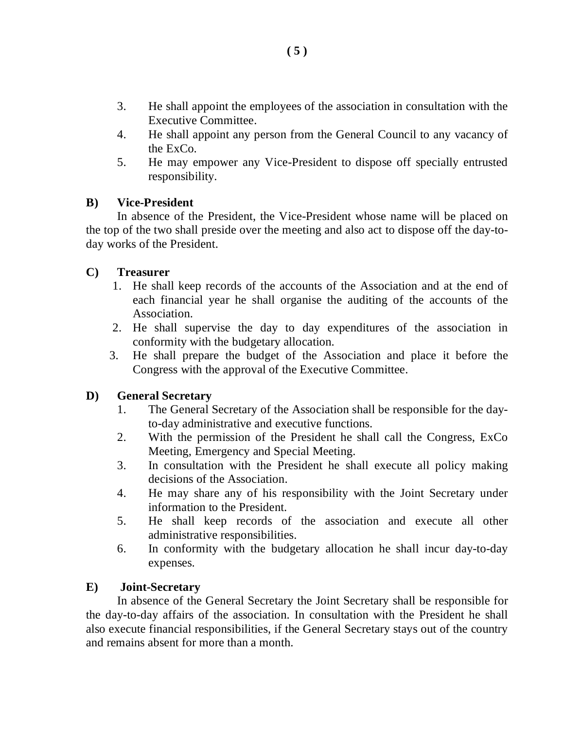- 3. He shall appoint the employees of the association in consultation with the Executive Committee.
- 4. He shall appoint any person from the General Council to any vacancy of the ExCo.
- 5. He may empower any Vice-President to dispose off specially entrusted responsibility.

### **B) Vice-President**

In absence of the President, the Vice-President whose name will be placed on the top of the two shall preside over the meeting and also act to dispose off the day-today works of the President.

### **C) Treasurer**

- 1. He shall keep records of the accounts of the Association and at the end of each financial year he shall organise the auditing of the accounts of the Association.
- 2. He shall supervise the day to day expenditures of the association in conformity with the budgetary allocation.
- 3. He shall prepare the budget of the Association and place it before the Congress with the approval of the Executive Committee.

### **D) General Secretary**

- 1. The General Secretary of the Association shall be responsible for the dayto-day administrative and executive functions.
- 2. With the permission of the President he shall call the Congress, ExCo Meeting, Emergency and Special Meeting.
- 3. In consultation with the President he shall execute all policy making decisions of the Association.
- 4. He may share any of his responsibility with the Joint Secretary under information to the President.
- 5. He shall keep records of the association and execute all other administrative responsibilities.
- 6. In conformity with the budgetary allocation he shall incur day-to-day expenses.

### **E) Joint-Secretary**

In absence of the General Secretary the Joint Secretary shall be responsible for the day-to-day affairs of the association. In consultation with the President he shall also execute financial responsibilities, if the General Secretary stays out of the country and remains absent for more than a month.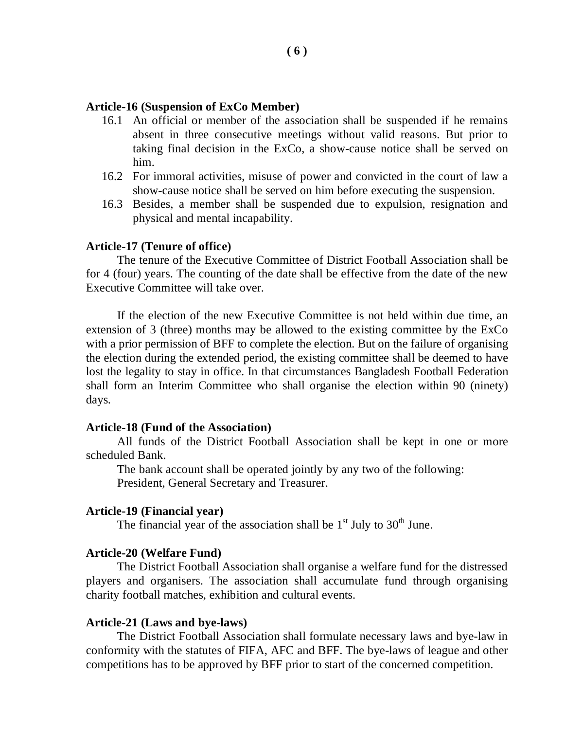#### **Article-16 (Suspension of ExCo Member)**

- 16.1 An official or member of the association shall be suspended if he remains absent in three consecutive meetings without valid reasons. But prior to taking final decision in the ExCo, a show-cause notice shall be served on him.
- 16.2 For immoral activities, misuse of power and convicted in the court of law a show-cause notice shall be served on him before executing the suspension.
- 16.3 Besides, a member shall be suspended due to expulsion, resignation and physical and mental incapability.

#### **Article-17 (Tenure of office)**

The tenure of the Executive Committee of District Football Association shall be for 4 (four) years. The counting of the date shall be effective from the date of the new Executive Committee will take over.

If the election of the new Executive Committee is not held within due time, an extension of 3 (three) months may be allowed to the existing committee by the ExCo with a prior permission of BFF to complete the election. But on the failure of organising the election during the extended period, the existing committee shall be deemed to have lost the legality to stay in office. In that circumstances Bangladesh Football Federation shall form an Interim Committee who shall organise the election within 90 (ninety) days.

#### **Article-18 (Fund of the Association)**

All funds of the District Football Association shall be kept in one or more scheduled Bank.

The bank account shall be operated jointly by any two of the following: President, General Secretary and Treasurer.

#### **Article-19 (Financial year)**

The financial year of the association shall be  $1<sup>st</sup>$  July to  $30<sup>th</sup>$  June.

#### **Article-20 (Welfare Fund)**

The District Football Association shall organise a welfare fund for the distressed players and organisers. The association shall accumulate fund through organising charity football matches, exhibition and cultural events.

#### **Article-21 (Laws and bye-laws)**

The District Football Association shall formulate necessary laws and bye-law in conformity with the statutes of FIFA, AFC and BFF. The bye-laws of league and other competitions has to be approved by BFF prior to start of the concerned competition.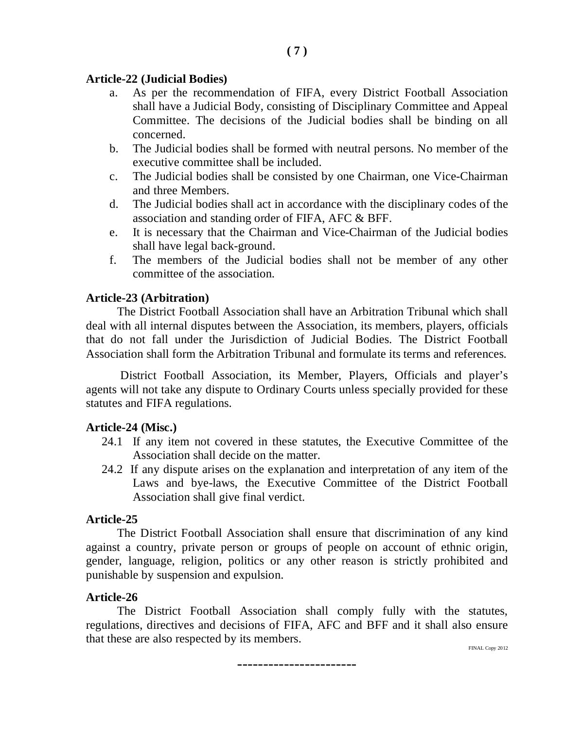#### **Article-22 (Judicial Bodies)**

a. As per the recommendation of FIFA, every District Football Association shall have a Judicial Body, consisting of Disciplinary Committee and Appeal Committee. The decisions of the Judicial bodies shall be binding on all concerned.

**( 7 )**

- b. The Judicial bodies shall be formed with neutral persons. No member of the executive committee shall be included.
- c. The Judicial bodies shall be consisted by one Chairman, one Vice-Chairman and three Members.
- d. The Judicial bodies shall act in accordance with the disciplinary codes of the association and standing order of FIFA, AFC & BFF.
- e. It is necessary that the Chairman and Vice-Chairman of the Judicial bodies shall have legal back-ground.
- f. The members of the Judicial bodies shall not be member of any other committee of the association.

#### **Article-23 (Arbitration)**

The District Football Association shall have an Arbitration Tribunal which shall deal with all internal disputes between the Association, its members, players, officials that do not fall under the Jurisdiction of Judicial Bodies. The District Football Association shall form the Arbitration Tribunal and formulate its terms and references.

District Football Association, its Member, Players, Officials and player's agents will not take any dispute to Ordinary Courts unless specially provided for these statutes and FIFA regulations.

#### **Article-24 (Misc.)**

- 24.1 If any item not covered in these statutes, the Executive Committee of the Association shall decide on the matter.
- 24.2 If any dispute arises on the explanation and interpretation of any item of the Laws and bye-laws, the Executive Committee of the District Football Association shall give final verdict.

#### **Article-25**

The District Football Association shall ensure that discrimination of any kind against a country, private person or groups of people on account of ethnic origin, gender, language, religion, politics or any other reason is strictly prohibited and punishable by suspension and expulsion.

#### **Article-26**

The District Football Association shall comply fully with the statutes, regulations, directives and decisions of FIFA, AFC and BFF and it shall also ensure that these are also respected by its members.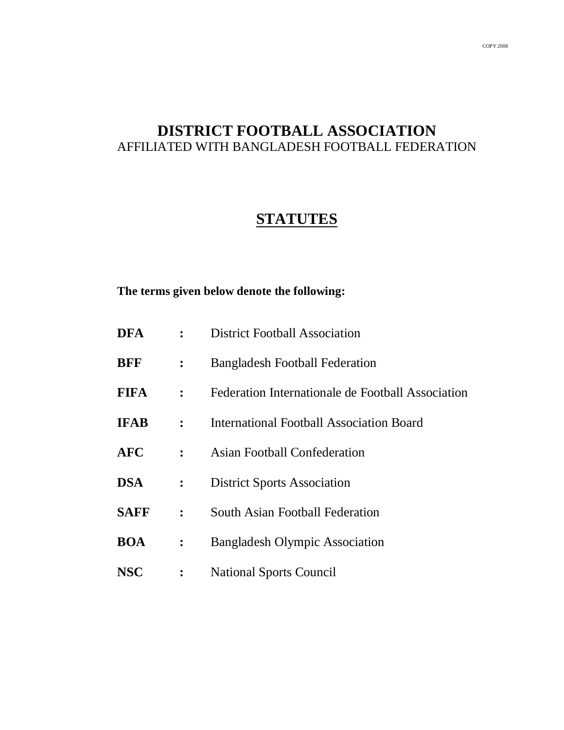# **DISTRICT FOOTBALL ASSOCIATION** AFFILIATED WITH BANGLADESH FOOTBALL FEDERATION

# **STATUTES**

#### **The terms given below denote the following:**

- **DFA :** District Football Association
- **BFF :** Bangladesh Football Federation
- **FIFA :** Federation Internationale de Football Association
- **IFAB :** International Football Association Board
- **AFC :** Asian Football Confederation
- **DSA :** District Sports Association
- **SAFF :** South Asian Football Federation
- **BOA :** Bangladesh Olympic Association
- **NSC :** National Sports Council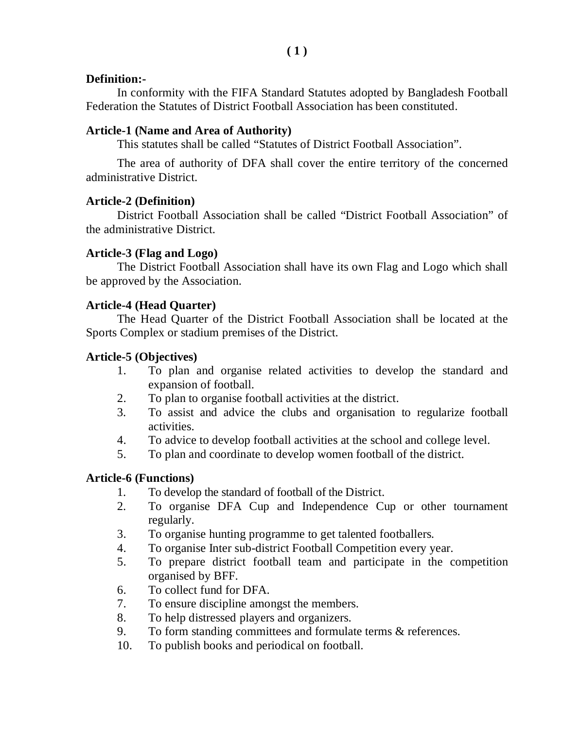### **Definition:-**

In conformity with the FIFA Standard Statutes adopted by Bangladesh Football Federation the Statutes of District Football Association has been constituted.

### **Article-1 (Name and Area of Authority)**

This statutes shall be called "Statutes of District Football Association".

The area of authority of DFA shall cover the entire territory of the concerned administrative District.

### **Article-2 (Definition)**

District Football Association shall be called "District Football Association" of the administrative District.

### **Article-3 (Flag and Logo)**

The District Football Association shall have its own Flag and Logo which shall be approved by the Association.

### **Article-4 (Head Quarter)**

The Head Quarter of the District Football Association shall be located at the Sports Complex or stadium premises of the District.

### **Article-5 (Objectives)**

- 1. To plan and organise related activities to develop the standard and expansion of football.
- 2. To plan to organise football activities at the district.
- 3. To assist and advice the clubs and organisation to regularize football activities.
- 4. To advice to develop football activities at the school and college level.
- 5. To plan and coordinate to develop women football of the district.

### **Article-6 (Functions)**

- 1. To develop the standard of football of the District.
- 2. To organise DFA Cup and Independence Cup or other tournament regularly.
- 3. To organise hunting programme to get talented footballers.
- 4. To organise Inter sub-district Football Competition every year.
- 5. To prepare district football team and participate in the competition organised by BFF.
- 6. To collect fund for DFA.
- 7. To ensure discipline amongst the members.
- 8. To help distressed players and organizers.
- 9. To form standing committees and formulate terms & references.
- 10. To publish books and periodical on football.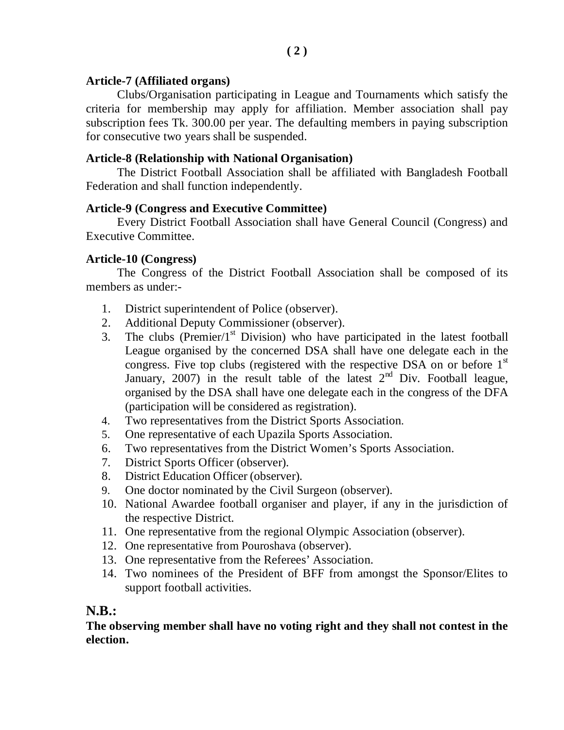### **Article-7 (Affiliated organs)**

Clubs/Organisation participating in League and Tournaments which satisfy the criteria for membership may apply for affiliation. Member association shall pay subscription fees Tk. 300.00 per year. The defaulting members in paying subscription for consecutive two years shall be suspended.

### **Article-8 (Relationship with National Organisation)**

The District Football Association shall be affiliated with Bangladesh Football Federation and shall function independently.

### **Article-9 (Congress and Executive Committee)**

Every District Football Association shall have General Council (Congress) and Executive Committee.

### **Article-10 (Congress)**

The Congress of the District Football Association shall be composed of its members as under:-

- 1. District superintendent of Police (observer).
- 2. Additional Deputy Commissioner (observer).
- 3. The clubs (Premier/ $1<sup>st</sup>$  Division) who have participated in the latest football League organised by the concerned DSA shall have one delegate each in the congress. Five top clubs (registered with the respective DSA on or before  $1<sup>st</sup>$ January, 2007) in the result table of the latest  $2<sup>nd</sup>$  Div. Football league, organised by the DSA shall have one delegate each in the congress of the DFA (participation will be considered as registration).
- 4. Two representatives from the District Sports Association.
- 5. One representative of each Upazila Sports Association.
- 6. Two representatives from the District Women's Sports Association.
- 7. District Sports Officer (observer).
- 8. District Education Officer (observer).
- 9. One doctor nominated by the Civil Surgeon (observer).
- 10. National Awardee football organiser and player, if any in the jurisdiction of the respective District.
- 11. One representative from the regional Olympic Association (observer).
- 12. One representative from Pouroshava (observer).
- 13. One representative from the Referees' Association.
- 14. Two nominees of the President of BFF from amongst the Sponsor/Elites to support football activities.

### **N.B.:**

**The observing member shall have no voting right and they shall not contest in the election.**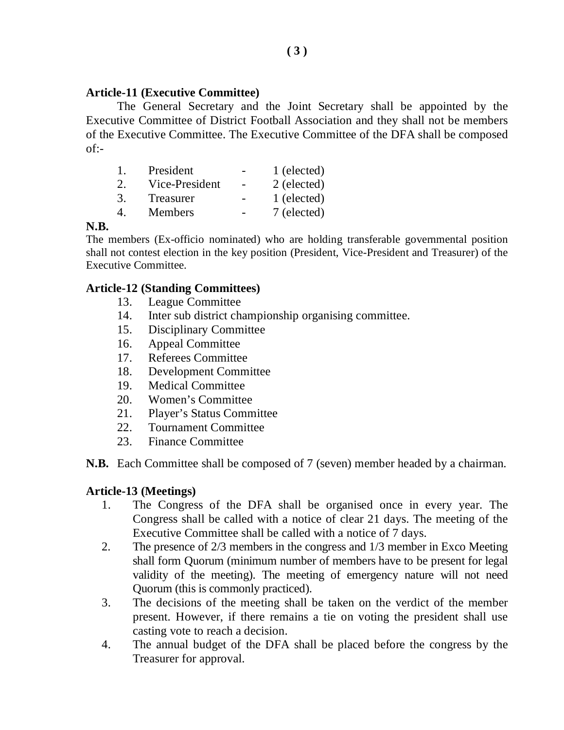#### **Article-11 (Executive Committee)**

The General Secretary and the Joint Secretary shall be appointed by the Executive Committee of District Football Association and they shall not be members of the Executive Committee. The Executive Committee of the DFA shall be composed of:-

| L.                          | President      | 1 (elected) |
|-----------------------------|----------------|-------------|
| $\mathcal{D}_{\mathcal{L}}$ | Vice-President | 2 (elected) |
| 3.                          | Treasurer      | 1 (elected) |
| $\overline{4}$              | <b>Members</b> | 7 (elected) |

### **N.B.**

The members (Ex-officio nominated) who are holding transferable governmental position shall not contest election in the key position (President, Vice-President and Treasurer) of the Executive Committee.

### **Article-12 (Standing Committees)**

- 13. League Committee
- 14. Inter sub district championship organising committee.
- 15. Disciplinary Committee
- 16. Appeal Committee
- 17. Referees Committee
- 18. Development Committee
- 19. Medical Committee
- 20. Women's Committee
- 21. Player's Status Committee
- 22. Tournament Committee
- 23. Finance Committee

**N.B.** Each Committee shall be composed of 7 (seven) member headed by a chairman.

#### **Article-13 (Meetings)**

- 1. The Congress of the DFA shall be organised once in every year. The Congress shall be called with a notice of clear 21 days. The meeting of the Executive Committee shall be called with a notice of 7 days.
- 2. The presence of 2/3 members in the congress and 1/3 member in Exco Meeting shall form Quorum (minimum number of members have to be present for legal validity of the meeting). The meeting of emergency nature will not need Quorum (this is commonly practiced).
- 3. The decisions of the meeting shall be taken on the verdict of the member present. However, if there remains a tie on voting the president shall use casting vote to reach a decision.
- 4. The annual budget of the DFA shall be placed before the congress by the Treasurer for approval.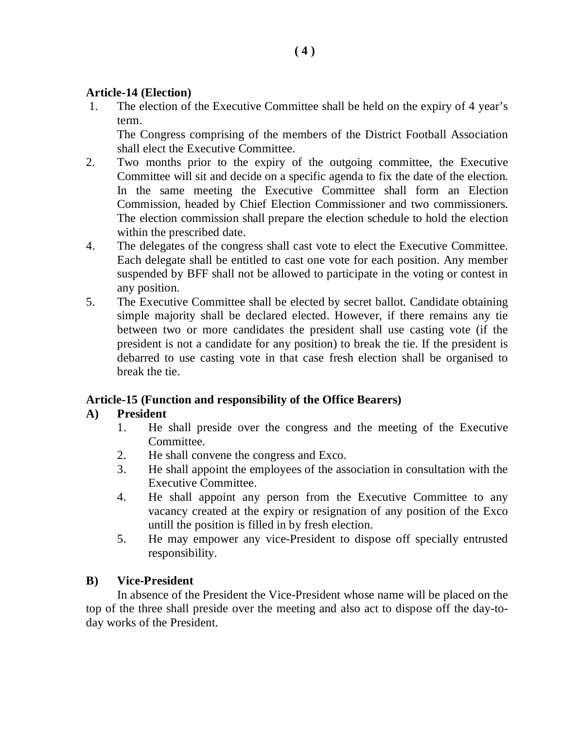### **Article-14 (Election)**

1. The election of the Executive Committee shall be held on the expiry of 4 year's term.

The Congress comprising of the members of the District Football Association shall elect the Executive Committee.

- 2. Two months prior to the expiry of the outgoing committee, the Executive Committee will sit and decide on a specific agenda to fix the date of the election. In the same meeting the Executive Committee shall form an Election Commission, headed by Chief Election Commissioner and two commissioners. The election commission shall prepare the election schedule to hold the election within the prescribed date.
- 4. The delegates of the congress shall cast vote to elect the Executive Committee. Each delegate shall be entitled to cast one vote for each position. Any member suspended by BFF shall not be allowed to participate in the voting or contest in any position.
- 5. The Executive Committee shall be elected by secret ballot. Candidate obtaining simple majority shall be declared elected. However, if there remains any tie between two or more candidates the president shall use casting vote (if the president is not a candidate for any position) to break the tie. If the president is debarred to use casting vote in that case fresh election shall be organised to break the tie.

### **Article-15 (Function and responsibility of the Office Bearers)**

### **A) President**

- 1. He shall preside over the congress and the meeting of the Executive Committee.
- 2. He shall convene the congress and Exco.
- 3. He shall appoint the employees of the association in consultation with the Executive Committee.
- 4. He shall appoint any person from the Executive Committee to any vacancy created at the expiry or resignation of any position of the Exco untill the position is filled in by fresh election.
- 5. He may empower any vice-President to dispose off specially entrusted responsibility.

### **B) Vice-President**

In absence of the President the Vice-President whose name will be placed on the top of the three shall preside over the meeting and also act to dispose off the day-today works of the President.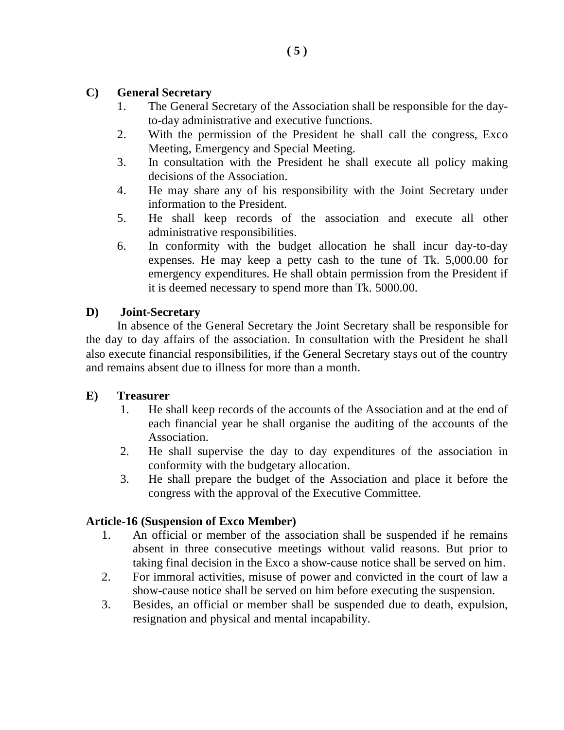### **C) General Secretary**

- 1. The General Secretary of the Association shall be responsible for the dayto-day administrative and executive functions.
- 2. With the permission of the President he shall call the congress, Exco Meeting, Emergency and Special Meeting.
- 3. In consultation with the President he shall execute all policy making decisions of the Association.
- 4. He may share any of his responsibility with the Joint Secretary under information to the President.
- 5. He shall keep records of the association and execute all other administrative responsibilities.
- 6. In conformity with the budget allocation he shall incur day-to-day expenses. He may keep a petty cash to the tune of Tk. 5,000.00 for emergency expenditures. He shall obtain permission from the President if it is deemed necessary to spend more than Tk. 5000.00.

### **D) Joint-Secretary**

In absence of the General Secretary the Joint Secretary shall be responsible for the day to day affairs of the association. In consultation with the President he shall also execute financial responsibilities, if the General Secretary stays out of the country and remains absent due to illness for more than a month.

### **E) Treasurer**

- 1. He shall keep records of the accounts of the Association and at the end of each financial year he shall organise the auditing of the accounts of the Association.
- 2. He shall supervise the day to day expenditures of the association in conformity with the budgetary allocation.
- 3. He shall prepare the budget of the Association and place it before the congress with the approval of the Executive Committee.

### **Article-16 (Suspension of Exco Member)**

- 1. An official or member of the association shall be suspended if he remains absent in three consecutive meetings without valid reasons. But prior to taking final decision in the Exco a show-cause notice shall be served on him.
- 2. For immoral activities, misuse of power and convicted in the court of law a show-cause notice shall be served on him before executing the suspension.
- 3. Besides, an official or member shall be suspended due to death, expulsion, resignation and physical and mental incapability.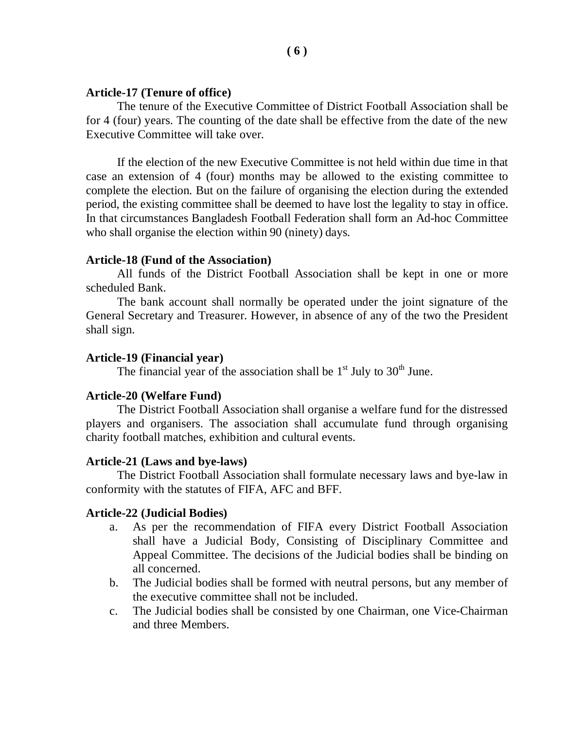#### **Article-17 (Tenure of office)**

The tenure of the Executive Committee of District Football Association shall be for 4 (four) years. The counting of the date shall be effective from the date of the new Executive Committee will take over.

If the election of the new Executive Committee is not held within due time in that case an extension of 4 (four) months may be allowed to the existing committee to complete the election. But on the failure of organising the election during the extended period, the existing committee shall be deemed to have lost the legality to stay in office. In that circumstances Bangladesh Football Federation shall form an Ad-hoc Committee who shall organise the election within 90 (ninety) days.

#### **Article-18 (Fund of the Association)**

All funds of the District Football Association shall be kept in one or more scheduled Bank.

The bank account shall normally be operated under the joint signature of the General Secretary and Treasurer. However, in absence of any of the two the President shall sign.

#### **Article-19 (Financial year)**

The financial year of the association shall be  $1<sup>st</sup>$  July to  $30<sup>th</sup>$  June.

#### **Article-20 (Welfare Fund)**

The District Football Association shall organise a welfare fund for the distressed players and organisers. The association shall accumulate fund through organising charity football matches, exhibition and cultural events.

#### **Article-21 (Laws and bye-laws)**

The District Football Association shall formulate necessary laws and bye-law in conformity with the statutes of FIFA, AFC and BFF.

#### **Article-22 (Judicial Bodies)**

- a. As per the recommendation of FIFA every District Football Association shall have a Judicial Body, Consisting of Disciplinary Committee and Appeal Committee. The decisions of the Judicial bodies shall be binding on all concerned.
- b. The Judicial bodies shall be formed with neutral persons, but any member of the executive committee shall not be included.
- c. The Judicial bodies shall be consisted by one Chairman, one Vice-Chairman and three Members.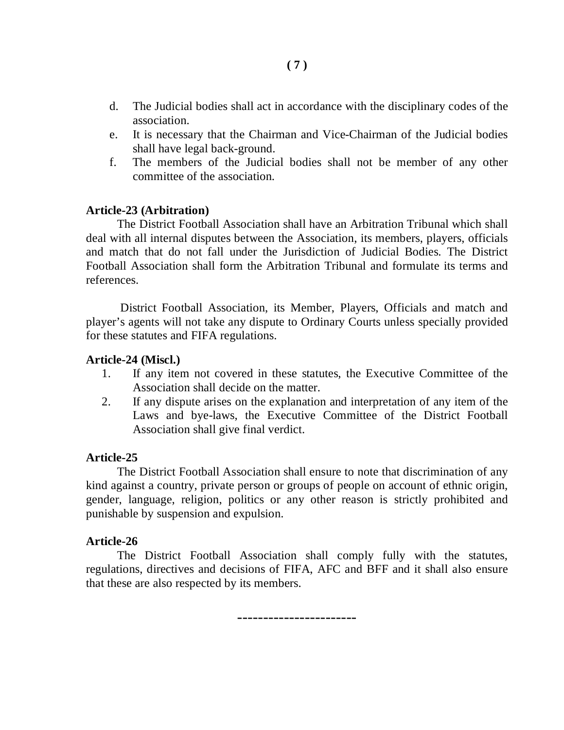- d. The Judicial bodies shall act in accordance with the disciplinary codes of the association.
- e. It is necessary that the Chairman and Vice-Chairman of the Judicial bodies shall have legal back-ground.
- f. The members of the Judicial bodies shall not be member of any other committee of the association.

#### **Article-23 (Arbitration)**

The District Football Association shall have an Arbitration Tribunal which shall deal with all internal disputes between the Association, its members, players, officials and match that do not fall under the Jurisdiction of Judicial Bodies. The District Football Association shall form the Arbitration Tribunal and formulate its terms and references.

District Football Association, its Member, Players, Officials and match and player's agents will not take any dispute to Ordinary Courts unless specially provided for these statutes and FIFA regulations.

#### **Article-24 (Miscl.)**

- 1. If any item not covered in these statutes, the Executive Committee of the Association shall decide on the matter.
- 2. If any dispute arises on the explanation and interpretation of any item of the Laws and bye-laws, the Executive Committee of the District Football Association shall give final verdict.

#### **Article-25**

The District Football Association shall ensure to note that discrimination of any kind against a country, private person or groups of people on account of ethnic origin, gender, language, religion, politics or any other reason is strictly prohibited and punishable by suspension and expulsion.

#### **Article-26**

The District Football Association shall comply fully with the statutes, regulations, directives and decisions of FIFA, AFC and BFF and it shall also ensure that these are also respected by its members.

-----------------------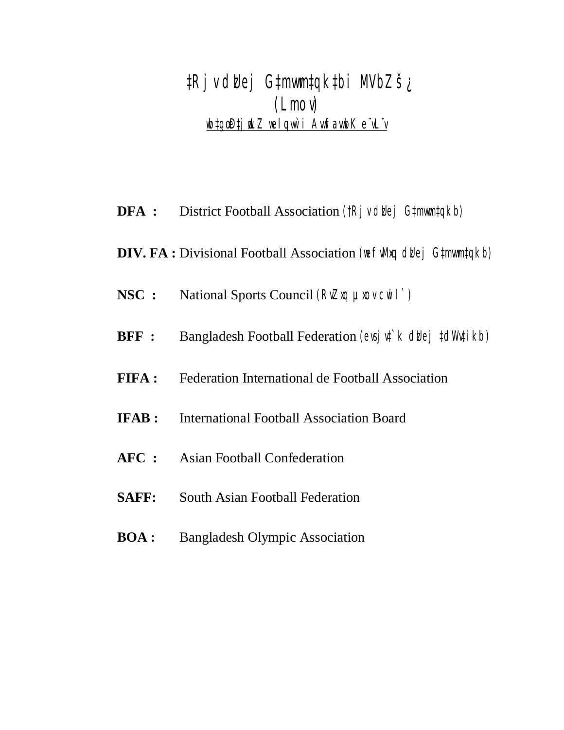*‡Rjv dzUej G‡mvwm‡qk‡bi MVbZš¿ (Lmov) wb‡gœ D‡jøwLZ welqvw`i AvwfavwbK e¨vL¨v*

- **DFA :** District Football Association *(†Rjv dblej G‡mwm‡qkb)*
- **DIV. FA** : Divisional Football Association (we full and due j G#mum#qkb)
- **NSC :** National Sports Council *(RvZxq µxov cwil`)*
- **BFF :** Bangladesh Football Federation *(evsjv‡`k dviej ‡dWv‡ikb)*
- **FIFA :** Federation International de Football Association
- **IFAB :** International Football Association Board
- **AFC :** Asian Football Confederation
- **SAFF:** South Asian Football Federation
- **BOA :** Bangladesh Olympic Association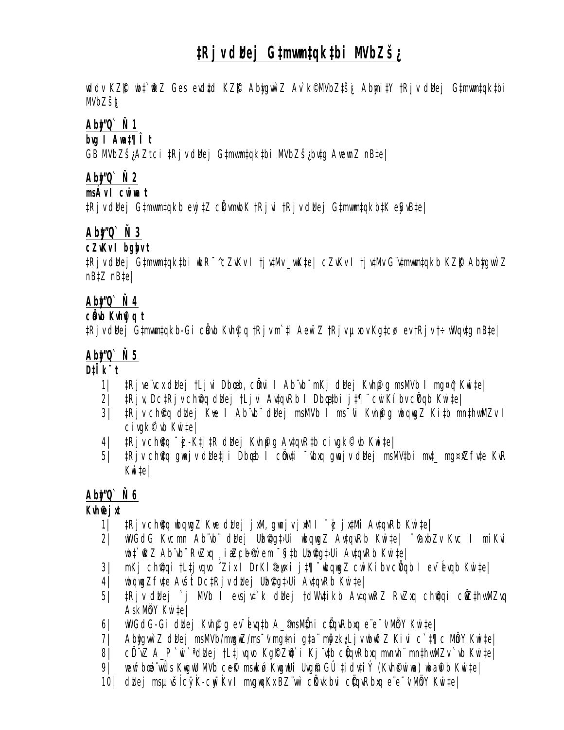# *‡Rjv dzUej G‡mvwm‡qk‡bi MVbZš¿*

*wddv KZ©"K wb‡`©wkZ Ges evdz‡d KZ©"K Aby‡gvw`Z Av`k© MVbZ‡š¿i Abymi‡Y †Rjv dzUej G‡mvwm‡qk‡bi MVbZš¿t*

## *Aby‡"Q` Ñ 1*

*bvg I Awa‡¶Î t*

*GB MVbZš¿ AZtci ‡Rjv dzUej G‡mvwm‡qk‡bi MVbZš¿ bv‡g AwewnZ nB‡e|*

## *Aby‡"Q` Ñ 2*

*msÁv I cwiwa t*

*‡Rjv dzUej G‡mvwm‡qkb ewj‡Z cÖkvmwbK †Rjvi †Rjv dzUej G‡mvwm‡qkb‡K eySvB‡e|*

# *Aby‡"Q` Ñ 3*

### *cZvKv I bgybv t*

*‡Rjv dzUej G‡mvwm‡qk‡bi wbR¯^ cZvKv I †jv‡Mv \_vwK‡e| cZvKv I †jv‡Mv G¨v‡mvwm‡qkb KZ©"K Aby‡gvw`Z nB‡Z nB‡e|*

# *Aby‡"Q` Ñ 4*

### *cÖavb Kvh©vjq t*

*‡Rjv dzUej G‡mvwm‡qkb-Gi cÖavb Kvh©vjq †Rjv m`‡i Aew¯'Z †Rjv µxov Kg‡cø· ev †Rjv †÷wWqv‡g nB‡e|*

## *Aby‡"Q` Ñ 5*

*D‡Ïk¨ t*

- *1| ‡Rjve¨vcx dzUej †Ljvi Dbœqb, cÖmvi I Ab¨vb¨ mKj dzUej Kvh©µg msMVb I mg¤^q Kwi‡e|*
- *2| ‡Rjv, Dc‡Rjv ch©v‡q dzUej †Ljvi Av‡qvRb I Dbœq‡bi j‡¶¨ cwiKíbv cÖYqb Kwi‡e|*
- *3| ‡Rjv ch©v‡q dzUej K¬ve I Ab¨vb¨ dzUej msMVb I ms¯'vi Kvh©µg wbqwgZ Ki‡b mn‡hvwMZv I civgk© `vb Kwi‡e|*
- *4| ‡Rjv ch©v‡q ¯‹zj-K‡j‡R dzUej Kvh©µg Av‡qvR‡b civgk© `vb Kwi‡e|*
- *5| ‡Rjv ch©v‡q gwnjv dzUe‡ji Dbœqb I cÖmv‡i ¯'vbxq gwnjv dzUej msMV‡bi mv‡\_ mg¤^xZfv‡e KvR Kwi‡e|*

# *Aby‡"Q` Ñ 6*

**Kuh®jxt** 

- *1| ‡Rjv ch©v‡q wbqwgZ K¬ve dzUej jxM, gwnjv jxM I ¯‹zj jx‡Mi Av‡qvRb Kwi‡e|*
- *2| wWGdG Kvcmn Ab¨vb¨ dzUej Uzb©v‡g‡›Ui wbqwgZ Av‡qvRb Kwi‡e| ¯^vaxbZv Kvc I miKvi wb‡`©wkZ Ab¨vb¨ RvZxq ¸iæZ¡c~b© w`em ¯§i‡b Uzb©v‡g‡›Ui Av‡qvRb Kwi‡e|*
- *3| mKj ch©v‡qi †L‡jvqvo ˆZix I DrKl© e"w×i j‡¶¨ wbqwgZ cwiKíbv cÖYqb I ev¯Íevqb Kwi‡e|*
- *4| wbqwgZfv‡e AvšÍt Dc‡Rjv dzUej Uzb©v‡g‡›Ui Av‡qvRb Kwi‡e|*
- *5| ‡Rjv dbej `j MVb I evsjv‡`k dbej †dWv‡ikb Av‡qvwRZ RvZxq ch@qi cÖZ‡hwMZvq AskMÖnY Kwi‡e|*
- *6| wWGdG-Gi dzUej Kvh©µg ev¯Íevq‡b A\_© msMÖ‡ni cÖ‡qvRbxq e¨e¯'v MÖnY Kwi‡e|*
- *7| Aby‡gvw`Z dzUej msMVb/mwgwZ/ms¯'v mg~‡ni g‡a¨ myôz k"•Ljv wbwðZ Kivi c`‡¶c MÖnY Kwi‡e|*
- *8| cÖL¨vZ A\_P `wi`ª dzUej †L‡jvqvo Kg©KZ©v‡`i Kj¨v‡b cÖ‡qvRbxq mvnvh¨ mn‡hvwMZv `vb Kwi‡e|*
- *9| wewfbœ ó¨vwÛs KwgwU MVb c~e©K mswkøó KwgwUi Uvg©m GÛ ‡idv‡iÝ (Kvh©cwiwa) wba©vib Kwi‡e|*
- *10| dzUej msµvšÍ cy¯ÍK-cyw¯ÍKv I mvgwqKx BZ¨vw` cÖKvkbvi cÖ‡qvRbxq e¨e¯'v MÖnY Kwi‡e|*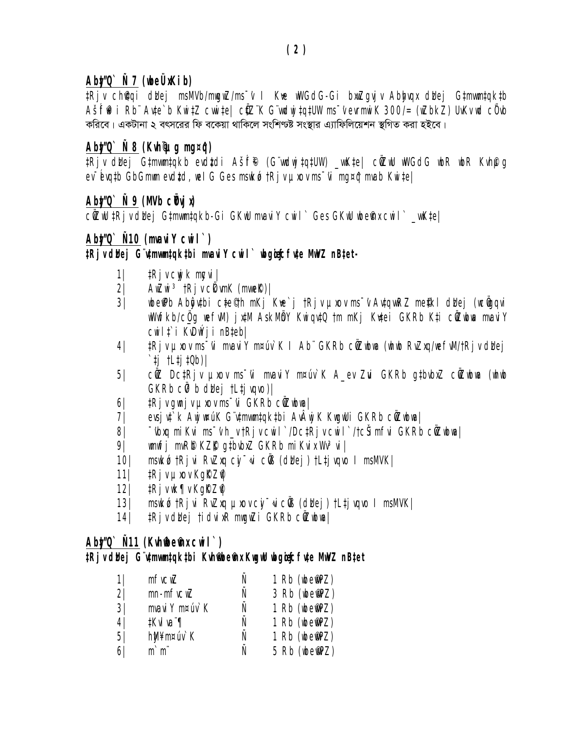# Abt/Q`Ñ7 (whe ÜxKib)

#Rjv ch@qi dbej msMVb/mwgwZ/ms<sup>-</sup>v I Kve wWGdG-Gi bxwZgvjv Abbyqx dbej G#mwm#qk#b AšÍfi $R$ i Rb" Avte`b KwitZ cwwite| cüZ"K G"vudwjtqtUW ms"v evrmwiK 300/= (wZbkZ) UvKv ud cüvb করিবে। একটানা ২ বৎসরের ফি বকেয়া থাকিলে সংশিণ্ট্ট সংস্থার এ্যাফিলিয়েশন স্থগিত করা হইবে।

# $Ab\sharp\prime\mathbb{Q}$   $\check{N}$  8 (Kuh $\mathcal{Q}$ uq mq¤ $\hat{q}$ )

tRjv ddej Gtmwmtqkb evdtdi Ašf® (G wdwjtqtUW) \_wKte| ciZwU wWGdG wbR Wheng  $ev$  - Evatb GbGmim evdtd, iiel G Ges msiko tRj v pixov ms - vi ma¤ĝ mvab Kii tel

# <u>Abt/0`Ñ9 (MVb cѾvjx)</u>

cůZIU ‡Rj v dlaej G‡mwm‡qkb-Gi GKIU mvavi Y cui I` Ges GKIU ubemna cui I` \_vuK‡e|

# $A$ b $\sharp$ ⁄0  $\check{N}$ 10 (mvai Y cui l  $\check{ }$ )

### ‡Rjvdbej G utmumtaktbi muaviY cuil` ubgiecfute MuVZ nBtet-

- $\frac{1}{2}$ Rj v cwj k mozvi |  $1\vert$
- $2\sqrt{ }$  $A\nu Z\nu i \rvert^3$  † $Rj \nu$   $C\&$   $\nu mK$  (mv $n \in \mathbb{R}$ ) |
- wbeiPb Aboutbi cte<sup>e</sup>th mKj Kre`j tRjv prov ms~v AvtqwRZ me\$kl duej (wcigqvi  $3/$ wWwfkb/cig wefwl) jxtM AskMbY KwiqvtQ tm mKj Krtei GKRb Kti cüZwbwa mwaviY cwili i KvDwýji nBtebl
- ‡Rj v µxov ms vi mvavi Y m¤úv` K I Ab" GKRb cůZubna (uhub RvZxg/nefwM/tRj v dldej  $4\vert$ ` $t$ j  $t$ L $t$ j $t$ 0b)/
- cůZ DctRjv µxov ms<sup>-</sup>vi mvaviY m¤úv`K A\_ev Zui GKRb gtbvbxZ cůZubwa (whub  $5/$  $GKRb C\ddot{\theta}^3b$  didej tLtj vqvo)|
- $6/$ tRj v gwnj v podobnos "vi GKRb cůZwbwa |
- evsjvt`k Awjw¤úK G`v‡mvwn‡qk‡bi AvÂwj K KwgwUi GKRb cŴZwbwa|  $7/$
- <sup>−</sup>ibxq mi Kvi ms<sup>−</sup>i h\_v †Rj v cwi l`/Dc‡Rj v cwi l`/†cŠi mfvi GKRb cŴZwbwa | 81
- 9| wnwfi mvR® KZ $R$  qtbvbxZ GKRb miKvix Wv3vi |
- msukó tRjvi RvZxq cy-vi cůß (dhej) tLtjvqvo I msMVK| 10 |
- tRj v µxov KgRZP  $11$
- $12$ |  $1$ Rj $\nu$ wk¶ $\nu$ Kg $R$ Z $\ell$
- 13| mswkód tri vi Rvzną pod cy vicůs (dubej) tltj vovo I msMVK|
- 14 | tRjvddej tidvixR mwgwZi GKRb c@Zwbwa |

# $Abxy0$ `  $\tilde{N}11$  (Kuhfbefhx cui  $\Gamma$ )

### tRiv duej G utmumtaktbi Kuhmoemu Kuguu ubgugcfute Muuz nBtet

| 11             | mfvcwZ                 | Ν | 1 Rb (wbemPZ) |
|----------------|------------------------|---|---------------|
| 2 <sup>1</sup> | $mn$ - $m$ f $vc$ $wZ$ | Ν | 3 Rb (wbemPZ) |
| 3 <sup>1</sup> | mvavi Y m¤úv`K         | Ñ | 1 Rb (wbemPZ) |
| 4 <sup>1</sup> | ‡KvI va "¶             | Ν | 1 Rb (wbemPZ) |
| 5 <sub>l</sub> | hM¥m¤úv`K              | Ν | 1 Rb (wbemPZ) |
| 61             | $m$ ` $m$ "            | Ν | 5 Rb (wbemPZ) |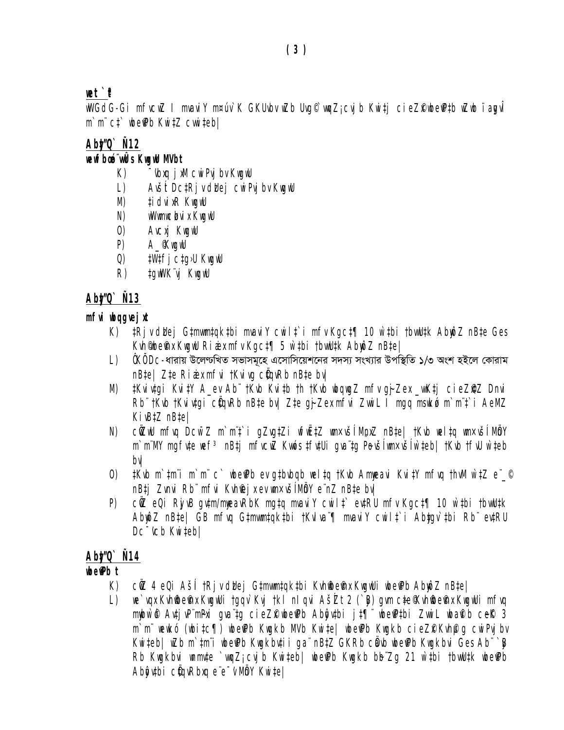# $\mathbf{r}$

wWGdG-Gi mfvcwZ I mvaviY m¤úv`K GKUvbv wZb Uvq©`wqZ<sub>i</sub>cvjb Kwi‡j cieZfWbefPtb wZwb ïa**g**vÎ 

### Abt/Q` N12

### wewfboo wÛs KwgwU MVbt

- $K$ ) "vbxg j xM cwi Pvj bv KwgwU
- $\lfloor \cdot \rfloor$ Avšit DcțRi v didej cwi Pvj by Kwgwu
- ți dvi xR KwgwU M)
- wWwmwclovi x KwgwU N)
- 0) Avcxj KuguU
- A *KwgwU*  $P$
- $Q)$ tW‡fi ctg>U KwgwU
- $R)$ *tgwWK"vj KwgwU*

# Abt/Q` Ñ13

### mfvi ubggvej xt

- K) ‡Rjvddej G‡mwm‡qk‡bi mvaviY cwil†`i mfv Kgc‡¶ 10 w`tbi †bvwU‡k AbwôZ nB‡e Ges Kuh Mbefhu KuguU Riai x mfv Kgct [] 5 w tbi tbuuutk AbupZ nBte |
- L)  $\hat{\theta}$ K $\hat{\theta}$  Dc-ধারায় উলেণ্ডখিত সভাসমূহে এসোসিয়েশনের সদস্য সংখ্যার উপস্থিতি ১/৩ অংশ হইলে কোরাম  $nBte$  /  $Zte$  Rian  $x$  m  $fvi$  t Kvivg  $c\ddot{y}qvRb$  n  $Bte$  by  $y$
- tKvivtgi KvitY A\_ev Ab" tKvb Kvitb th tKvb wbqwgZ mfv gj-Zex \_wKtj cieZ@Z Dnvi M) Rb" tKvb tKvivtgi cüqvRb nBte bv| Zte gj-Zex mfvi ZwiL I mgq msukó m`m"t`i AeMZ  $Ki$ <sub>*w* $B$  $iZ$ </sub> $n$ *B* $i$ *e* $i$
- N) cüzw mfvq Dcw~Z m`m't`i qZvqtZi wfwËtZ wn×všíMpxZ nBtel tKvb weltq wn×všíMåY m`m'MY mgfvte wef<sup>3</sup> nBtj mfvcwZ Kwós tfvtUi qva'tg Pevšlwmxvšlw`teb| tKvb tfvU w`teb bvl
- 0)  $t$ Kub m`tmi m`mi c` ubenPb ev gtbubqb uel tq tKub Amueavi KvitY mfuq thuM w`tZ e  $\degree$ nB‡j Zvnvi Rb" mfvi Kvhfej x ev wn×všíMôY e nZ nB‡e bvl
- P) cüz eQi RiyuB qu‡m/mmeavRbK mqtq mvaviY cwilt` ev‡RU mfv Kqc‡¶ 10 w`‡bi tbwU‡k Abmoz nBtel GB mfvg Gtmwmtgktbi tKvlva [] mvaviY cwilt i Abtgv tbi Rb evtRU Dc<sup>-</sup>icb Kwitebl

## Ab**t**/O` Ñ14

## ube®Pbt

- K) cüz 4 eQi Ašii tRjv didej Gtmwmtgktbi Kvhildein KuquUi ubeiPb Abupz nBtel
- we`vqx Kvhiibeinx KwgwUi tgqv`Kvj tkl nlqvi AšŹt 2 (`B) gwn cte Kvhiibeinx KwgwUi mfvq  $\lfloor \ \rfloor$ mmbw`@ AutivP`mPxi qua`tq cieZP wberPb Aboutbi jt¶" wberPtbi ZwiL wbarib ceR 3 m'm' wewkó (wbitc¶) wbe Pb Kwgkb MVb Kwitel wbe Pb Kwgkb cieZP Kvhpuq cwiPvj bv Kwiteb| wZb m`tmi wbe Pb Kwgkbutii gainBtZ GKRb cawb wbe Pb Kwgkbui Ges Abi ` B Rb Kwgkbvi wnmvte `wgZj cvjb Kwiteb| wbe Pb Kwgkb bb Zg 21 w`tbi tbwUtk wbe Pb Abôytbi cüqyRbxq e e "v MbY Kwitel"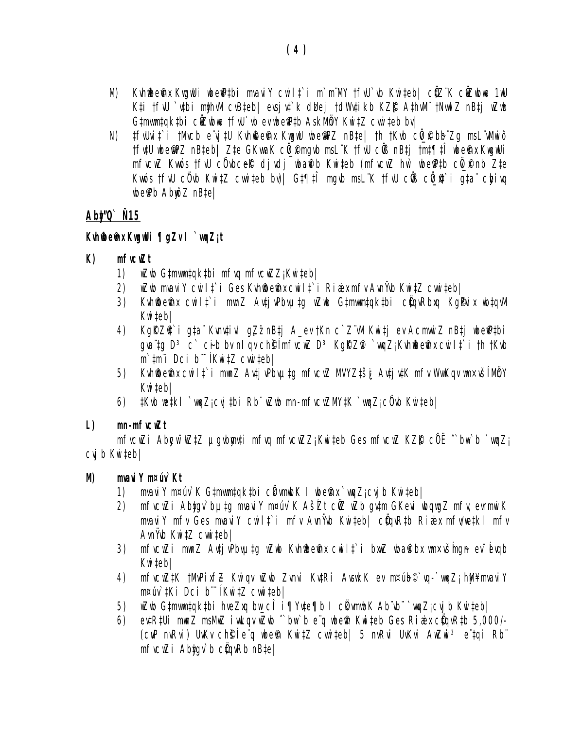- M) Kvhfibefnx KwgwUi wbefPtbi mvaviY cwil‡`i m`m'MY †fvU`vb Kwiteb| cÜZ'K cÜZwbwa 1wU Kti tfw `vtbi mthwM cvBteb| evsjvt`k dlaej tdWvtikb KZR AthwM" tNwwlZ nBtj wZwb Gtmwmtgktbi cûZwbwa tfiu vb ev wbe Ptb AskMbY Kwitz cwiteb by
- tfiurit i tMich e vj tu Kinfbefni Kigilu ibefipz nBte| th tKib cü f bb Zg msL vMini ô N) tfutU ubemPZ nBteb| Zte GKwaK cü\_@mgub msL K tfuU cüB nBtj tmt¶tî ubema KuguUi mfvcwZ Kwos tfiu cü ubceR di vdi wbaflb Kwiteb (mfvcwZ hw` wbefftb cü f nb Zte Kwós tfu cũub Kwitz cwiteb bu)| Gt¶tî mqub msL K tfu cửB cũ # i gta chivg wbe Pb Abwo Z nBtel

## Abt/0 N15

### Kuhibefhx Kugubi ¶gZv I`wgZit

#### $K$  $m$ f $ucwZt$

- 1) wZwb G‡mwm‡qk‡bi mfvq mfvcwZZjKwi‡eb|
- uZub mvavi Y cuilț`i Ges Kvhiidein x cuilț`i Ri ai x m fv Avn i'vb KuițZ cvuițeb | 2)
- 3) Kuhiibeinu cwilt i mwnZ AutjuPbuptg wZwb Gtmuwntqktbi cüquRbuq KgPuix wbtquM Kwitebl
- 4) KgRZQ`i gta Kvnvtivl gZznBtj A\_ev tKn c`ZwM Kwitj ev AcmwwiZ nBtj wbepptbi qua tq  $D^3$  c cib by nl qv chg(mfvcwZ  $D^3$  KqRZ $\widehat{H}$  `wqZ; Kvhfbefty cwilt i th tKvb  $m$ ` $tm$ "i Dci b"<sup>-</sup> $Kw$ i $tZ$  cwwitebl
- 5) Kvhiideinx cwilt`i mwnZ Avți vPbvµtg mfvcwZ MVYZtšį Avți vtK mfv Wwkqv wn×všl MbY Kwitebl
- 6)  $t$ Kwb wetkl `wqZj cvj tbi Rb" wZwb mn-mfvcwZMYtK `wqZj c0vb Kwiteb|

#### $\mathbf{L}$  $mn$ -m $f$ v $CwZt$

mfvcwZi Abgw<sup>-</sup>wZtZ µgvbmyti mfvq mfvcwZZ<sub>i</sub> Kwiteb Ges mfvcwZ KZR c0E "bw b `wqZ<sub>i</sub>  $CVI$  b  $Kwi$   $teb$   $\frac{1}{2}$ 

#### mvavi Y m¤úv` Kt M)

- mvavi Y m¤úv`K G‡mwm‡qk‡bi c|kvmwbK I wbefnx `wqZ;cvib Kwi‡eb| 1)
- 2) mfvcwZi Abtgv`butg mvaviY m¤úv`K AšŹt cůZ wZb gvtm GKevi wbqwgZ mfv, evrmwiK mvavi Y mfv Ges mvavi Y cwilt i mfv Avnivb Kwitebl cüqvRtb Riaix mfv/wetkl mfv AvnŸvb KwitZ cwwitebl
- 3) mfvcwZi mwnZ Avți vPbvµțq wZwb Kvhiibeinx cwilț`i bxwZ wbaii bx wn×všmgn ev évgb Kwitebl
- 4) mfvcwZtK tMvPixfZ Kwigv wZub Zvnvi KvtRi AvsukK ev m¤úb©`vg-`vugZj hW¥mvaviY  $m$ ¤úv`‡ $Ki$   $Dci$   $b$   $\bar{f}$  $Kw$ i $\bar{f}Z$   $Cw$ i  $\bar{f}eb$  $\bar{f}$
- $wZ$ ub G $t$ mwm $t$ q $k$  $t$ bi hveZxq bu\_c $\widehat{I}$  i¶Yv $t$ e¶b I c $k$ wmub $K$  Ab vb `wqZj cvj b Kwi $t$ eb| 5)
- ertRtUi munZ msMuZ iwLqv wZwb "bw b e q wbefn Kwiteb Ges Riaix cüqvRtb 5,000/-6) (CUP nvRvi) UvKv chŝi e g ubem Kwitz cwiteb| 5 nvRvi UvKvi AwZwi 3 e taj Rb  $m$ f $vc$ w $Z$ i Abt $qv$ `b  $c$ @ $q$ v $Rb$  n $Bte/$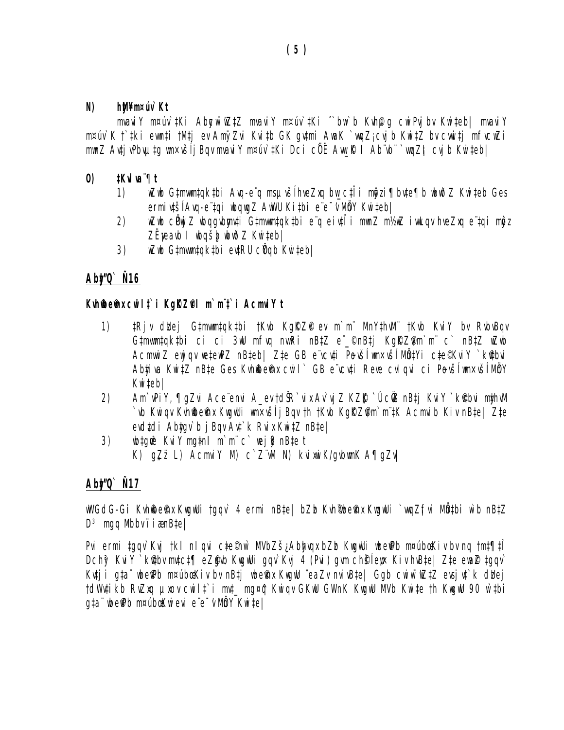#### $\boldsymbol{N}$ hM¥m¤úv`Kt

mvavi Y m¤úv`tKi Abgw~wZtZ mvavi Y m¤úv`tKi ^`bw`b Kvh@q cwiPvj bv Kwiteb| mvavi Y m¤úv`K t`‡ki ewn‡i †M‡j ev AmyZvi Kvi‡b GK gv‡mi AwaK `wqZj cvjb Kwi‡Z bv cvwi‡j mfvcwZi mwnZ Avți vPbvµțq wn×vši i Bqv mvavi Y m¤úv`țKi Dci cüË Aw ℝ I Ab vb ๊`wqZil cvi b Kwițeb|

#### $\boldsymbol{\theta}$ #Kvlva"¶t

- wZwb G‡mwm‡qk‡bi Avq-e¨q msµvšĺhveZxq bw c‡Îi mĝzi¶bv‡e¶b wbwðZ Kwi‡eb Ges 1) ermivtší Avg-e tgi wbgwgZ AwWU Kitbi e e v Mmy Kwitebl
- wZwb cËwjZ wbqqvbmyuti Gtmwmtqktbi e q eivtii mwnZ m½wZ iwLqv hveZxq e tqi mogz 2) ZËyeavb I wbgšb wbwðZ Kwiteb/
- wZwb G‡mwm‡qk‡bi ev‡RU cÑqb Kwi‡eb| 3)

## Abt/Q` Ñ16

### Kuhmem x cuilt i Kgrzel m'm't i Acmviy t

- $1)$ ‡Rjv duej G‡mwm‡qk‡bi †Kvb KqRZP ev m`m" MnY‡hwM" †Kvb KviY bv RvbvBqv Gimwmtqkibi ci ci 3wU mfwq nwwRi nBtZ e <sup>o</sup>nBtj KgRZim m c nBtZ wZwb Acmwi Z ewi qv wetewPZ nBteb| Zte GB e vcvti Povší wmxvší MůtYi cte®KviY `k@bvi Abțiva Kwitz nBte Ges Kvhibeinx cwil ` GB e vcuți Reve cul qui ci Povši wnxvši MbY Kwitebl
- 2) Am`vPiY, ¶qZvi Ace envi A ev tdŠR`vix Av`vi Z KZK` ÛcÖB nB‡i KviY`k@bvi mthwM `vb Kwiqv Kvhibem kkuguUi wmxvšij Bqv th tKvb KgRZim`m tK Acmvib Kiv nBte| Zte evdtdi Abtay`b j Bay Avt`k Rvix KwitZ nBtel
- wbtgw<sup>3</sup> KviYmgtnl m`m"c` wejß}nBtet 3) K)  $qZ\ddot{z}$  L) Acmvi Y M) c  $Z\ddot{w}$  N) kvi xwi K/qvbwnK A $q\bar{q}Zv$

## Ab**t**/Q` Ñ17

wWGdG-Gi Kvhilbeihx KugwUi tgqv` 4 ermi nBṭe| bZb Kvh¶beihx KugwUi `wqZjfvi Mồṭbi w`b nBṭZ  $D^3$  mgg Mbby i i  $\mathit{rank}[\mathit{e}]$ 

Pvi ermi tgqv`Kvj tkl nlqvi cte©hw` MVbZšįAbhyqxbZb KwgwUi wberPb m¤úbœKivbvnq tmt¶ti Dchỹ Kui Y `kitbu mutct¶ eZgub KuquUi qqu`Kuj 4 (Pui) qum ch§lew Kiv huBte| Zte ewaZ tqqu` Kutji gta wbe Pb m¤úbæKiv by nBtj wbe Pnx KwgwU `eaZv nvivBte| Ggb cwiw<sup>-</sup>wZtZ evsjut`k duej tdW#ikb RvZxq pxov cwilt`i mvt\_mg¤ĝ Kwiqv GKwU GWnK KwgwU MVb Kwite th KwgwU 90 w`tbi gta wheerb m¤ubaKwievi e e v MbY Kwitel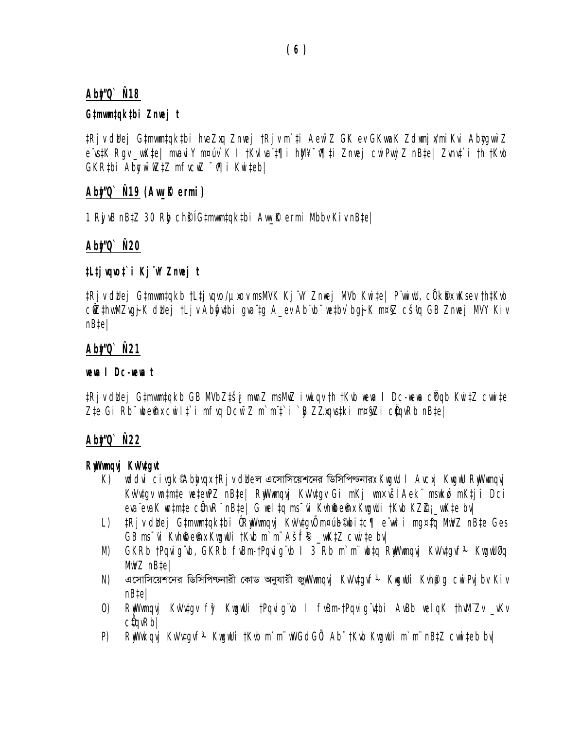### Ab**t/**Q` Ñ18

### G‡mwm‡qk‡bi Znwej t

‡Rj v dldej G‡mwm‡qk‡bi hveZxq Znwej †Rj v m`‡i Aew~Z GK ev GKwaK Zdwnj x/miKvi AbţgwìZ e rstK Rgv\_wKte| mvavi Y m¤úv`K I †KvIva t¶i hM¥ ~r¶ti Znwej cwiPwy Z nBte| Zvnvt`i †h †Kvb  $GKR$ tbi Abgw  $\bar{w}$ ztz mfrc $\bar{w}$   $\bar{q}$ i Kwitebl

### $A$ b $\sharp$ ⁄0`  $\tilde{N}$ 19 (Aw\_ $\tilde{R}$  ermi)

1 RiyıB nB‡Z 30 Rig chŝ|G‡mwm‡qk‡bi Awrk ermi Mbbı Kiv nB‡e|

### Ab**t/O`** N2O

### ‡L‡jvqvo‡`i Kj¨vY Znvej t

tRiv dhei Gtmwmtakb †Ltivqvo/µxov msMVK Ki vY Znwei MVb Kwitel P wiw. côk®x wKsev †htKvb cüzthwMZvgj-K duej tLjv Abĝytbi qva tg A\_ev Ab vb wetbv bgj-K m¤§Z cšvg GB Znwej MVY Kiv  $nBte/$ 

### Abt/Q` N21

### **wewa I Dc-wewa t**

‡Rjv dhej G‡mwm‡qkb GB MVbZ‡ši mwnZ msMwZ iwLqv †h †Kvb wewa I Dc-wewa ci<sup>y</sup>qb Kwi‡Z cwwi‡e Zte Gi Rb nbefnu cwilt`i mfwg Dcw Z m`m't`i `@ ZZugustki m¤\$wZi c@gwRb nBtel

## Ab**t/C** N22

### Riwwayi Kwutayt

- uddvi civqk%Abhyqx tRjv dheল এসোসিয়েশনের ডিসিপিডনারx KuquU I Avcxj KuquU RwWumqvj  $K$ ) KıVıtgı ıntmte wetewPZ nBte| RwWwmqvj KıVıtgı Gi mKj wm×všlAek" mswkó mKtji Dci eva evaK wotmte cühvR nBte| G weltg ms vi Kvhilde mx KwgwUi tKvb KZZj. wkte bv|
- L) tRiv duei Gtmwmtqktbi ÛRwWwnqvi KvVvtqvŨ m¤úb®bitc¶ e w<sup>3</sup>i mg¤tq MwVZ nBte Ges GB ms "vi Kvhildein KwgwUi tKvb m`m" Ašif® \_wKtZ cwwi te bv|
- GKRb †Pqvigʻvb, GKRb fvBm-†Pqvigʻvb I 3 Rb m`m" wbtq RwWwmqvj KvVvtgvf<sup>3</sup> KwgwU0q M)  $MWZ$  nBtel
- N) এসোসিয়েশনের ডিসিপিডনারী কোড অনুযায়ী জু*illl'imgvi KiVitgif<sup>3</sup> Kiigilli Kihpg cili Pij bi Kiv* nB‡e|
- 0) RuWumqvi KvVvtqv fŷ KuquUi tPqvigʻub I fvBm-tPqvigʻvtbi AvBb uelqK thvM"Zv vKv  $C\ell q$ v $Rb$
- $P$ RNWwkqvi KvVvtqvf<sup>3</sup> KwqwUi †Kvb m`m¨wVGdG0i Ab¨†Kvb KwqwUi m`m¨nBtZ cwwiteb bv|